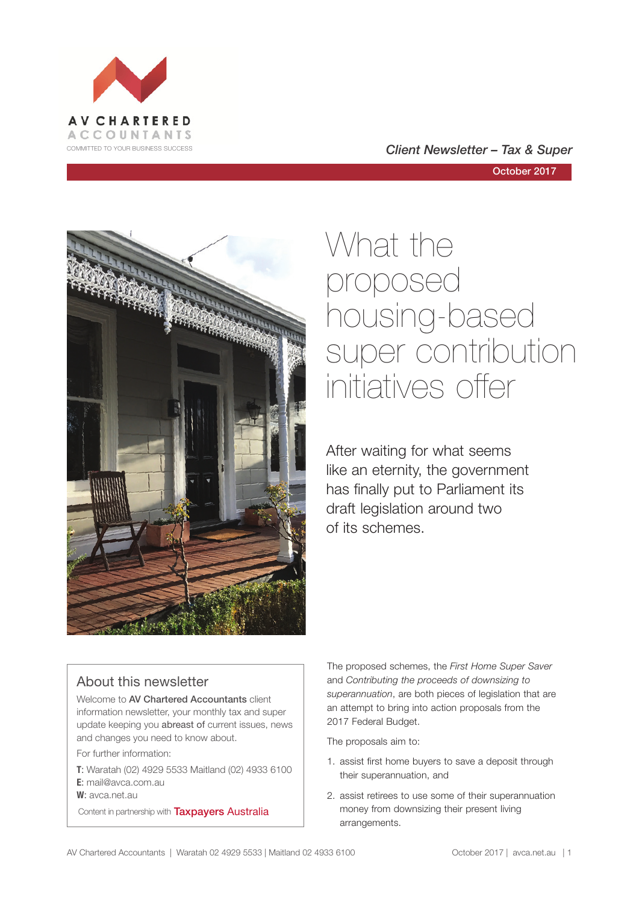



## What the proposed housing-based super contribution initiatives offer

After waiting for what seems like an eternity, the government has finally put to Parliament its draft legislation around two of its schemes.

#### About this newsletter

Welcome to AV Chartered Accountants client information newsletter, your monthly tax and super update keeping you abreast of current issues, news and changes you need to know about.

For further information:

- **T**: Waratah (02) 4929 5533 Maitland (02) 4933 6100 **E**: mail@avca.com.au
- **W**: avca.net.au

Content in partnership with **Taxpayers Australia** 

The proposed schemes, the *First Home Super Saver*  and *Contributing the proceeds of downsizing to superannuation*, are both pieces of legislation that are an attempt to bring into action proposals from the 2017 Federal Budget.

The proposals aim to:

- 1. assist first home buyers to save a deposit through their superannuation, and
- 2. assist retirees to use some of their superannuation money from downsizing their present living arrangements.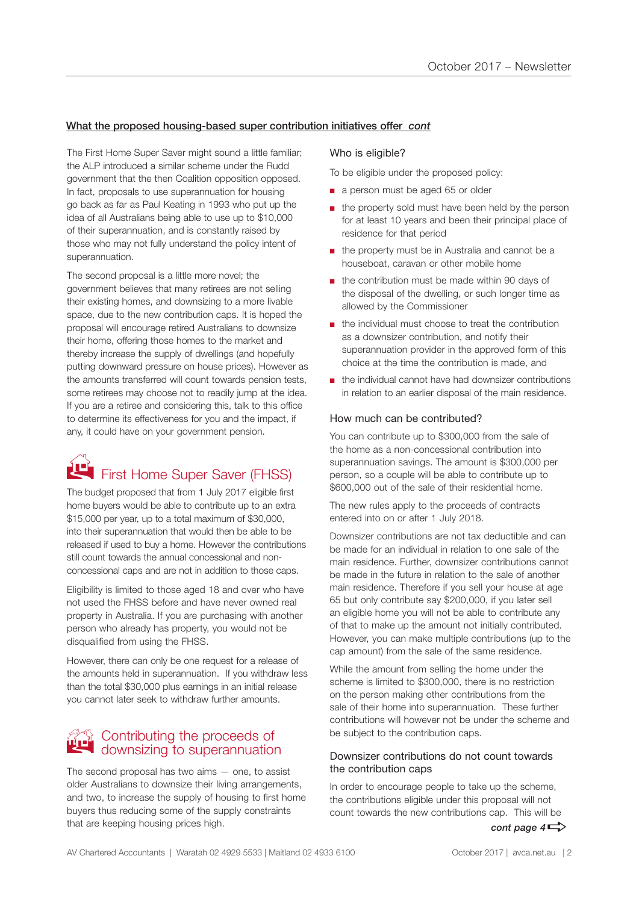#### What the proposed housing-based super contribution initiatives offer *cont*

The First Home Super Saver might sound a little familiar; the ALP introduced a similar scheme under the Rudd government that the then Coalition opposition opposed. In fact, proposals to use superannuation for housing go back as far as Paul Keating in 1993 who put up the idea of all Australians being able to use up to \$10,000 of their superannuation, and is constantly raised by those who may not fully understand the policy intent of superannuation.

The second proposal is a little more novel; the government believes that many retirees are not selling their existing homes, and downsizing to a more livable space, due to the new contribution caps. It is hoped the proposal will encourage retired Australians to downsize their home, offering those homes to the market and thereby increase the supply of dwellings (and hopefully putting downward pressure on house prices). However as the amounts transferred will count towards pension tests, some retirees may choose not to readily jump at the idea. If you are a retiree and considering this, talk to this office to determine its effectiveness for you and the impact, if any, it could have on your government pension.

## First Home Super Saver (FHSS)

The budget proposed that from 1 July 2017 eligible first home buyers would be able to contribute up to an extra \$15,000 per year, up to a total maximum of \$30,000, into their superannuation that would then be able to be released if used to buy a home. However the contributions still count towards the annual concessional and nonconcessional caps and are not in addition to those caps.

Eligibility is limited to those aged 18 and over who have not used the FHSS before and have never owned real property in Australia. If you are purchasing with another person who already has property, you would not be disqualified from using the FHSS.

However, there can only be one request for a release of the amounts held in superannuation. If you withdraw less than the total \$30,000 plus earnings in an initial release you cannot later seek to withdraw further amounts.

## **B Contributing the proceeds of** downsizing to superannuation

The second proposal has two aims — one, to assist older Australians to downsize their living arrangements, and two, to increase the supply of housing to first home buyers thus reducing some of the supply constraints that are keeping housing prices high.

#### Who is eligible?

To be eligible under the proposed policy:

- a person must be aged 65 or older
- the property sold must have been held by the person for at least 10 years and been their principal place of residence for that period
- the property must be in Australia and cannot be a houseboat, caravan or other mobile home
- the contribution must be made within 90 days of the disposal of the dwelling, or such longer time as allowed by the Commissioner
- the individual must choose to treat the contribution as a downsizer contribution, and notify their superannuation provider in the approved form of this choice at the time the contribution is made, and
- the individual cannot have had downsizer contributions in relation to an earlier disposal of the main residence.

#### How much can be contributed?

You can contribute up to \$300,000 from the sale of the home as a non-concessional contribution into superannuation savings. The amount is \$300,000 per person, so a couple will be able to contribute up to \$600,000 out of the sale of their residential home.

The new rules apply to the proceeds of contracts entered into on or after 1 July 2018.

Downsizer contributions are not tax deductible and can be made for an individual in relation to one sale of the main residence. Further, downsizer contributions cannot be made in the future in relation to the sale of another main residence. Therefore if you sell your house at age 65 but only contribute say \$200,000, if you later sell an eligible home you will not be able to contribute any of that to make up the amount not initially contributed. However, you can make multiple contributions (up to the cap amount) from the sale of the same residence.

While the amount from selling the home under the scheme is limited to \$300,000, there is no restriction on the person making other contributions from the sale of their home into superannuation. These further contributions will however not be under the scheme and be subject to the contribution caps.

#### Downsizer contributions do not count towards the contribution caps

In order to encourage people to take up the scheme, the contributions eligible under this proposal will not count towards the new contributions cap. This will be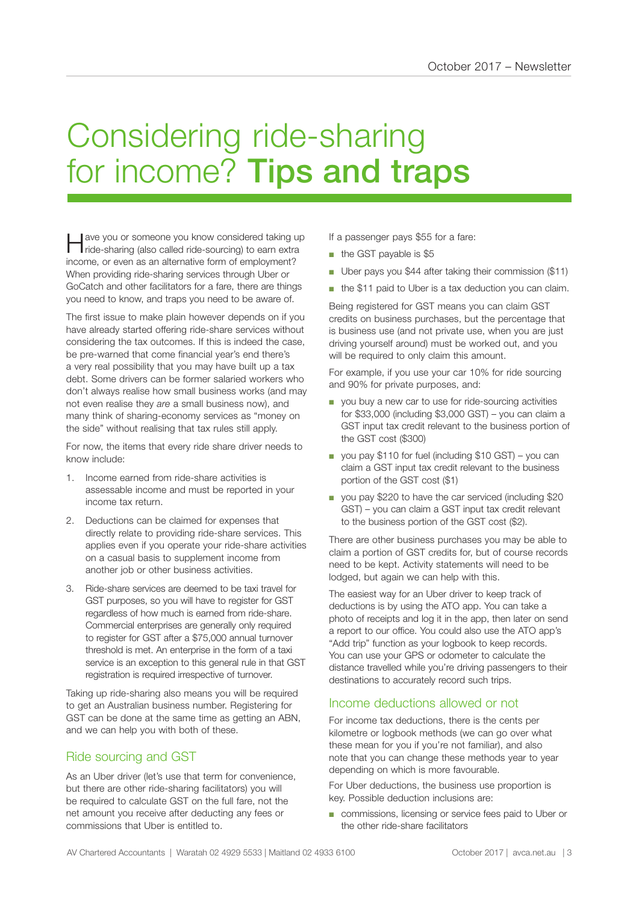## Considering ride-sharing for income? Tips and traps

Have you or someone you know considered taking up ride-sharing (also called ride-sourcing) to earn extra income, or even as an alternative form of employment? When providing ride-sharing services through Uber or GoCatch and other facilitators for a fare, there are things you need to know, and traps you need to be aware of.

The first issue to make plain however depends on if you have already started offering ride-share services without considering the tax outcomes. If this is indeed the case, be pre-warned that come financial year's end there's a very real possibility that you may have built up a tax debt. Some drivers can be former salaried workers who don't always realise how small business works (and may not even realise they *are* a small business now), and many think of sharing-economy services as "money on the side" without realising that tax rules still apply.

For now, the items that every ride share driver needs to know include:

- 1. Income earned from ride-share activities is assessable income and must be reported in your income tax return.
- 2. Deductions can be claimed for expenses that directly relate to providing ride-share services. This applies even if you operate your ride-share activities on a casual basis to supplement income from another job or other business activities.
- 3. Ride-share services are deemed to be taxi travel for GST purposes, so you will have to register for GST regardless of how much is earned from ride-share. Commercial enterprises are generally only required to register for GST after a \$75,000 annual turnover threshold is met. An enterprise in the form of a taxi service is an exception to this general rule in that GST registration is required irrespective of turnover.

Taking up ride-sharing also means you will be required to get an Australian business number. Registering for GST can be done at the same time as getting an ABN, and we can help you with both of these.

#### Ride sourcing and GST

As an Uber driver (let's use that term for convenience, but there are other ride-sharing facilitators) you will be required to calculate GST on the full fare, not the net amount you receive after deducting any fees or commissions that Uber is entitled to.

If a passenger pays \$55 for a fare:

- the GST payable is \$5
- Uber pays you \$44 after taking their commission (\$11)
- the \$11 paid to Uber is a tax deduction you can claim.

Being registered for GST means you can claim GST credits on business purchases, but the percentage that is business use (and not private use, when you are just driving yourself around) must be worked out, and you will be required to only claim this amount.

For example, if you use your car 10% for ride sourcing and 90% for private purposes, and:

- you buy a new car to use for ride-sourcing activities for \$33,000 (including \$3,000 GST) – you can claim a GST input tax credit relevant to the business portion of the GST cost (\$300)
- you pay \$110 for fuel (including \$10 GST) you can claim a GST input tax credit relevant to the business portion of the GST cost (\$1)
- you pay \$220 to have the car serviced (including \$20 GST) – you can claim a GST input tax credit relevant to the business portion of the GST cost (\$2).

There are other business purchases you may be able to claim a portion of GST credits for, but of course records need to be kept. Activity statements will need to be lodged, but again we can help with this.

The easiest way for an Uber driver to keep track of deductions is by using the ATO app. You can take a photo of receipts and log it in the app, then later on send a report to our office. You could also use the ATO app's "Add trip" function as your logbook to keep records. You can use your GPS or odometer to calculate the distance travelled while you're driving passengers to their destinations to accurately record such trips.

#### Income deductions allowed or not

For income tax deductions, there is the cents per kilometre or logbook methods (we can go over what these mean for you if you're not familiar), and also note that you can change these methods year to year depending on which is more favourable.

For Uber deductions, the business use proportion is key. Possible deduction inclusions are:

■ commissions, licensing or service fees paid to Uber or the other ride-share facilitators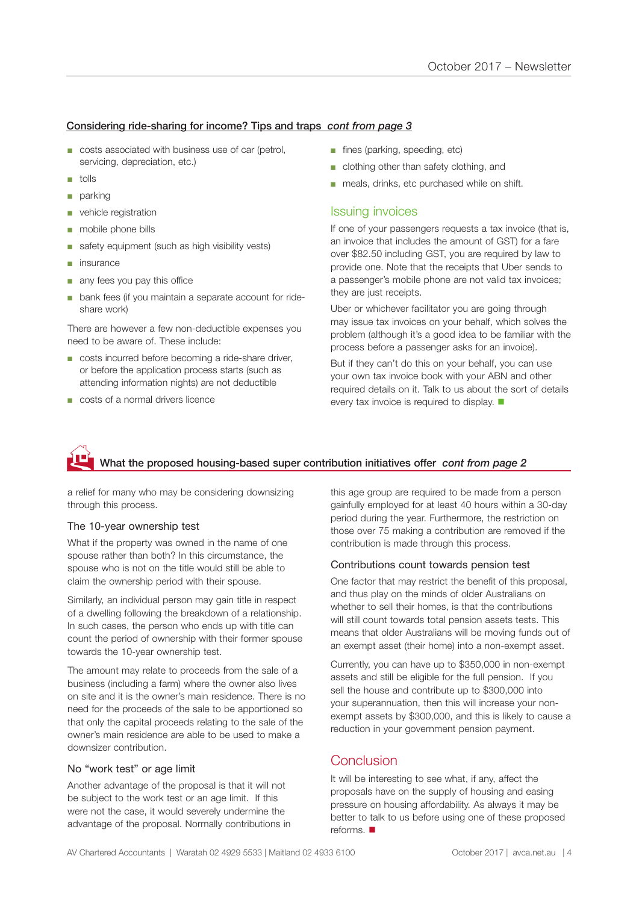#### Considering ride-sharing for income? Tips and traps *cont from page 3*

- costs associated with business use of car (petrol, servicing, depreciation, etc.)
- tolls
- parking
- vehicle registration
- mobile phone bills
- safety equipment (such as high visibility vests)
- insurance
- any fees you pay this office
- bank fees (if you maintain a separate account for rideshare work)

There are however a few non-deductible expenses you need to be aware of. These include:

- costs incurred before becoming a ride-share driver, or before the application process starts (such as attending information nights) are not deductible
- costs of a normal drivers licence
- fines (parking, speeding, etc)
- clothing other than safety clothing, and
- meals, drinks, etc purchased while on shift.

#### Issuing invoices

If one of your passengers requests a tax invoice (that is, an invoice that includes the amount of GST) for a fare over \$82.50 including GST, you are required by law to provide one. Note that the receipts that Uber sends to a passenger's mobile phone are not valid tax invoices; they are just receipts.

Uber or whichever facilitator you are going through may issue tax invoices on your behalf, which solves the problem (although it's a good idea to be familiar with the process before a passenger asks for an invoice).

But if they can't do this on your behalf, you can use your own tax invoice book with your ABN and other required details on it. Talk to us about the sort of details every tax invoice is required to display.  $\blacksquare$ 

#### What the proposed housing-based super contribution initiatives offer *cont from page 2*  $\mathbf{\hat{E}}$

a relief for many who may be considering downsizing through this process.

#### The 10-year ownership test

What if the property was owned in the name of one spouse rather than both? In this circumstance, the spouse who is not on the title would still be able to claim the ownership period with their spouse.

Similarly, an individual person may gain title in respect of a dwelling following the breakdown of a relationship. In such cases, the person who ends up with title can count the period of ownership with their former spouse towards the 10-year ownership test.

The amount may relate to proceeds from the sale of a business (including a farm) where the owner also lives on site and it is the owner's main residence. There is no need for the proceeds of the sale to be apportioned so that only the capital proceeds relating to the sale of the owner's main residence are able to be used to make a downsizer contribution.

#### No "work test" or age limit

Another advantage of the proposal is that it will not be subject to the work test or an age limit. If this were not the case, it would severely undermine the advantage of the proposal. Normally contributions in this age group are required to be made from a person gainfully employed for at least 40 hours within a 30-day period during the year. Furthermore, the restriction on those over 75 making a contribution are removed if the contribution is made through this process.

#### Contributions count towards pension test

One factor that may restrict the benefit of this proposal, and thus play on the minds of older Australians on whether to sell their homes, is that the contributions will still count towards total pension assets tests. This means that older Australians will be moving funds out of an exempt asset (their home) into a non-exempt asset.

Currently, you can have up to \$350,000 in non-exempt assets and still be eligible for the full pension. If you sell the house and contribute up to \$300,000 into your superannuation, then this will increase your nonexempt assets by \$300,000, and this is likely to cause a reduction in your government pension payment.

#### Conclusion

It will be interesting to see what, if any, affect the proposals have on the supply of housing and easing pressure on housing affordability. As always it may be better to talk to us before using one of these proposed reforms.  $\blacksquare$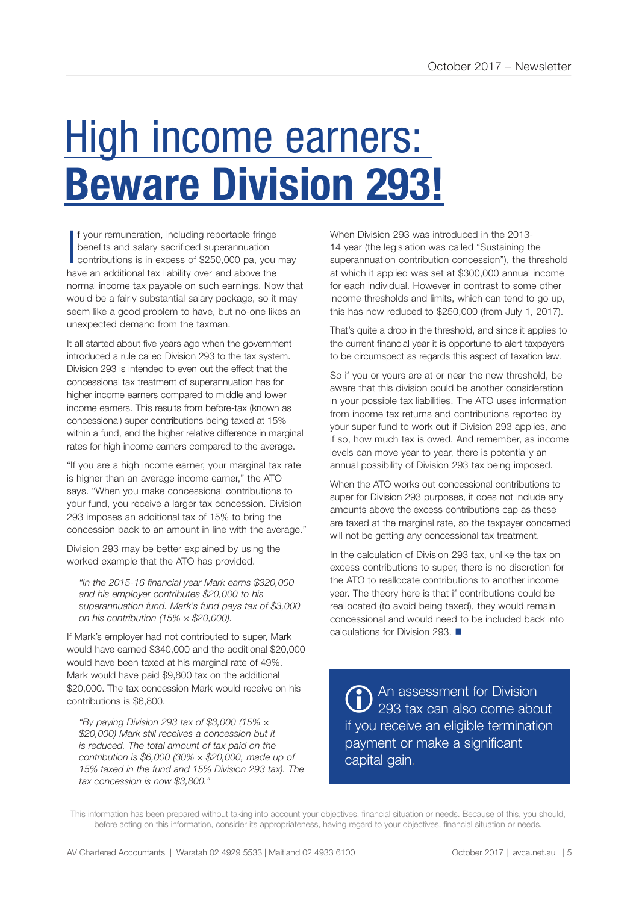# High income earners: **Beware Division 293!**

I f your remuneration, including reportable fringe benefits and salary sacrificed superannuation contributions is in excess of \$250,000 pa, you may have an additional tax liability over and above the normal income tax payable on such earnings. Now that would be a fairly substantial salary package, so it may seem like a good problem to have, but no-one likes an unexpected demand from the taxman.

It all started about five years ago when the government introduced a rule called Division 293 to the tax system. Division 293 is intended to even out the effect that the concessional tax treatment of superannuation has for higher income earners compared to middle and lower income earners. This results from before-tax (known as concessional) super contributions being taxed at 15% within a fund, and the higher relative difference in marginal rates for high income earners compared to the average.

"If you are a high income earner, your marginal tax rate is higher than an average income earner," the ATO says. "When you make concessional contributions to your fund, you receive a larger tax concession. Division 293 imposes an additional tax of 15% to bring the concession back to an amount in line with the average."

Division 293 may be better explained by using the worked example that the ATO has provided.

*"In the 2015-16 financial year Mark earns \$320,000 and his employer contributes \$20,000 to his superannuation fund. Mark's fund pays tax of \$3,000 on his contribution (15% × \$20,000).*

If Mark's employer had not contributed to super, Mark would have earned \$340,000 and the additional \$20,000 would have been taxed at his marginal rate of 49%. Mark would have paid \$9,800 tax on the additional \$20,000. The tax concession Mark would receive on his contributions is \$6,800.

*"By paying Division 293 tax of \$3,000 (15% × \$20,000) Mark still receives a concession but it is reduced. The total amount of tax paid on the contribution is \$6,000 (30% × \$20,000, made up of 15% taxed in the fund and 15% Division 293 tax). The tax concession is now \$3,800."*

When Division 293 was introduced in the 2013- 14 year (the legislation was called "Sustaining the superannuation contribution concession"), the threshold at which it applied was set at \$300,000 annual income for each individual. However in contrast to some other income thresholds and limits, which can tend to go up, this has now reduced to \$250,000 (from July 1, 2017).

That's quite a drop in the threshold, and since it applies to the current financial year it is opportune to alert taxpayers to be circumspect as regards this aspect of taxation law.

So if you or yours are at or near the new threshold, be aware that this division could be another consideration in your possible tax liabilities. The ATO uses information from income tax returns and contributions reported by your super fund to work out if Division 293 applies, and if so, how much tax is owed. And remember, as income levels can move year to year, there is potentially an annual possibility of Division 293 tax being imposed.

When the ATO works out concessional contributions to super for Division 293 purposes, it does not include any amounts above the excess contributions cap as these are taxed at the marginal rate, so the taxpayer concerned will not be getting any concessional tax treatment.

In the calculation of Division 293 tax, unlike the tax on excess contributions to super, there is no discretion for the ATO to reallocate contributions to another income year. The theory here is that if contributions could be reallocated (to avoid being taxed), they would remain concessional and would need to be included back into calculations for Division 293.  $\blacksquare$ 

<sup>An assessment for Division</sup><br>293 tax can also come abo 293 tax can also come about if you receive an eligible termination payment or make a significant capital gain.

This information has been prepared without taking into account your objectives, financial situation or needs. Because of this, you should, before acting on this information, consider its appropriateness, having regard to your objectives, financial situation or needs.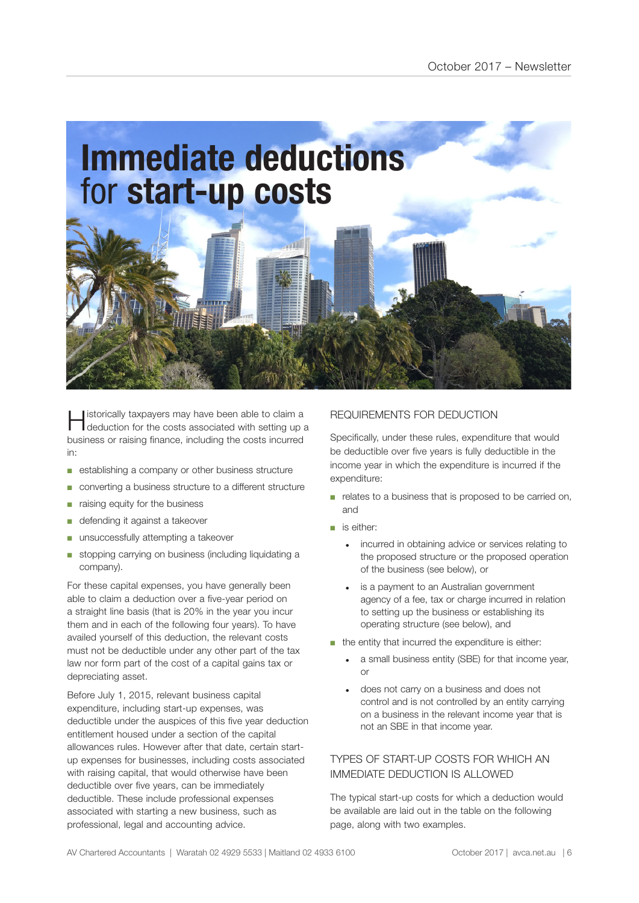

Historically taxpayers may have been able to claim a deduction for the costs associated with setting up a business or raising finance, including the costs incurred in:

- establishing a company or other business structure
- converting a business structure to a different structure
- raising equity for the business
- defending it against a takeover
- unsuccessfully attempting a takeover
- stopping carrying on business (including liquidating a company).

For these capital expenses, you have generally been able to claim a deduction over a five-year period on a straight line basis (that is 20% in the year you incur them and in each of the following four years). To have availed yourself of this deduction, the relevant costs must not be deductible under any other part of the tax law nor form part of the cost of a capital gains tax or depreciating asset.

Before July 1, 2015, relevant business capital expenditure, including start-up expenses, was deductible under the auspices of this five year deduction entitlement housed under a section of the capital allowances rules. However after that date, certain startup expenses for businesses, including costs associated with raising capital, that would otherwise have been deductible over five years, can be immediately deductible. These include professional expenses associated with starting a new business, such as professional, legal and accounting advice.

#### REQUIREMENTS FOR DEDUCTION

Specifically, under these rules, expenditure that would be deductible over five years is fully deductible in the income year in which the expenditure is incurred if the expenditure:

- relates to a business that is proposed to be carried on, and
- is either:
	- incurred in obtaining advice or services relating to the proposed structure or the proposed operation of the business (see below), or
	- is a payment to an Australian government agency of a fee, tax or charge incurred in relation to setting up the business or establishing its operating structure (see below), and
- the entity that incurred the expenditure is either:
	- a small business entity (SBE) for that income year, or
	- does not carry on a business and does not control and is not controlled by an entity carrying on a business in the relevant income year that is not an SBE in that income year.

#### TYPES OF START-UP COSTS FOR WHICH AN IMMEDIATE DEDUCTION IS ALLOWED

The typical start-up costs for which a deduction would be available are laid out in the table on the following page, along with two examples.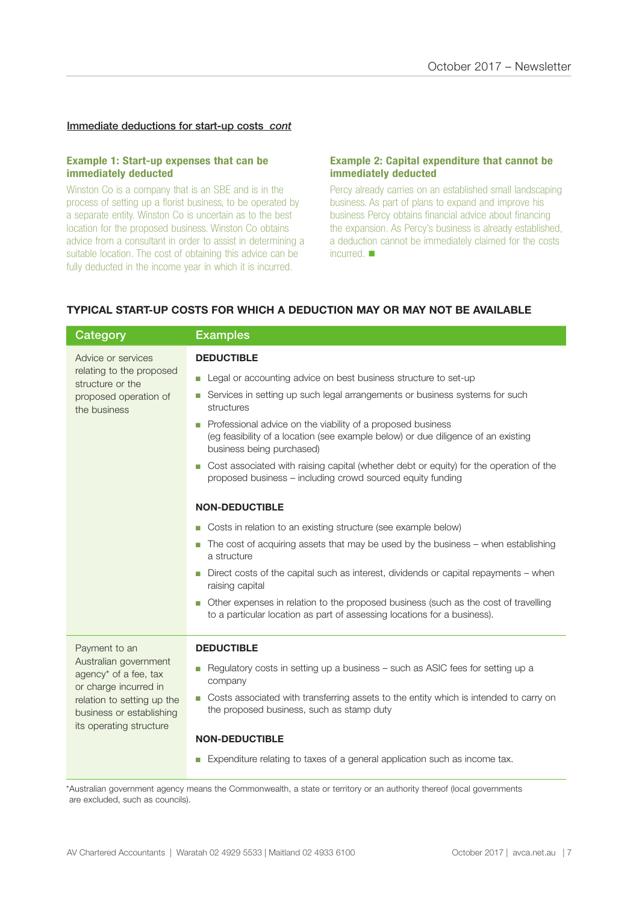#### Immediate deductions for start-up costs *cont*

#### **Example 1: Start-up expenses that can be immediately deducted**

Winston Co is a company that is an SBE and is in the process of setting up a florist business, to be operated by a separate entity. Winston Co is uncertain as to the best location for the proposed business. Winston Co obtains advice from a consultant in order to assist in determining a suitable location. The cost of obtaining this advice can be fully deducted in the income year in which it is incurred.

#### **Example 2: Capital expenditure that cannot be immediately deducted**

Percy already carries on an established small landscaping business. As part of plans to expand and improve his business Percy obtains financial advice about financing the expansion. As Percy's business is already established, a deduction cannot be immediately claimed for the costs incurred.  $\blacksquare$ 

#### **TYPICAL START-UP COSTS FOR WHICH A DEDUCTION MAY OR MAY NOT BE AVAILABLE**

| <b>Category</b>                                                                                                                                                               | <b>Examples</b>                                                                                                                                                                    |
|-------------------------------------------------------------------------------------------------------------------------------------------------------------------------------|------------------------------------------------------------------------------------------------------------------------------------------------------------------------------------|
| Advice or services<br>relating to the proposed<br>structure or the<br>proposed operation of<br>the business                                                                   | <b>DEDUCTIBLE</b>                                                                                                                                                                  |
|                                                                                                                                                                               | Legal or accounting advice on best business structure to set-up<br>П                                                                                                               |
|                                                                                                                                                                               | Services in setting up such legal arrangements or business systems for such<br>П<br>structures                                                                                     |
|                                                                                                                                                                               | Professional advice on the viability of a proposed business<br>П<br>(eg feasibility of a location (see example below) or due diligence of an existing<br>business being purchased) |
|                                                                                                                                                                               | Cost associated with raising capital (whether debt or equity) for the operation of the<br>П<br>proposed business - including crowd sourced equity funding                          |
|                                                                                                                                                                               | <b>NON-DEDUCTIBLE</b>                                                                                                                                                              |
|                                                                                                                                                                               | Costs in relation to an existing structure (see example below)<br>П                                                                                                                |
|                                                                                                                                                                               | The cost of acquiring assets that may be used by the business – when establishing<br>П<br>a structure                                                                              |
|                                                                                                                                                                               | Direct costs of the capital such as interest, dividends or capital repayments – when<br>П<br>raising capital                                                                       |
|                                                                                                                                                                               | Other expenses in relation to the proposed business (such as the cost of travelling<br>П<br>to a particular location as part of assessing locations for a business).               |
| Payment to an<br>Australian government<br>agency* of a fee, tax<br>or charge incurred in<br>relation to setting up the<br>business or establishing<br>its operating structure | <b>DEDUCTIBLE</b>                                                                                                                                                                  |
|                                                                                                                                                                               | Regulatory costs in setting up a business - such as ASIC fees for setting up a<br>П<br>company                                                                                     |
|                                                                                                                                                                               | Costs associated with transferring assets to the entity which is intended to carry on<br>П<br>the proposed business, such as stamp duty                                            |
|                                                                                                                                                                               | <b>NON-DEDUCTIBLE</b>                                                                                                                                                              |
|                                                                                                                                                                               | Expenditure relating to taxes of a general application such as income tax.<br>П                                                                                                    |
|                                                                                                                                                                               |                                                                                                                                                                                    |

\*Australian government agency means the Commonwealth, a state or territory or an authority thereof (local governments are excluded, such as councils).